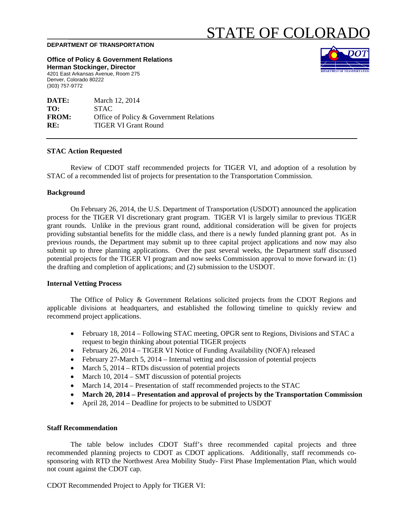# STATE OF COLORADO

#### **DEPARTMENT OF TRANSPORTATION**

**Office of Policy & Government Relations Herman Stockinger, Director** 

4201 East Arkansas Avenue, Room 275 Denver, Colorado 80222 (303) 757-9772

| March 12, 2014                          |
|-----------------------------------------|
| <b>STAC</b>                             |
| Office of Policy & Government Relations |
| <b>TIGER VI Grant Round</b>             |
|                                         |

#### **STAC Action Requested**

Review of CDOT staff recommended projects for TIGER VI, and adoption of a resolution by STAC of a recommended list of projects for presentation to the Transportation Commission.

#### **Background**

On February 26, 2014, the U.S. Department of Transportation (USDOT) announced the application process for the TIGER VI discretionary grant program. TIGER VI is largely similar to previous TIGER grant rounds. Unlike in the previous grant round, additional consideration will be given for projects providing substantial benefits for the middle class, and there is a newly funded planning grant pot. As in previous rounds, the Department may submit up to three capital project applications and now may also submit up to three planning applications. Over the past several weeks, the Department staff discussed potential projects for the TIGER VI program and now seeks Commission approval to move forward in: (1) the drafting and completion of applications; and (2) submission to the USDOT.

# **Internal Vetting Process**

The Office of Policy & Government Relations solicited projects from the CDOT Regions and applicable divisions at headquarters, and established the following timeline to quickly review and recommend project applications.

- February 18, 2014 Following STAC meeting, OPGR sent to Regions, Divisions and STAC a request to begin thinking about potential TIGER projects
- February 26, 2014 TIGER VI Notice of Funding Availability (NOFA) released
- February 27-March 5, 2014 Internal vetting and discussion of potential projects
- March 5,  $2014 RTDs$  discussion of potential projects
- March 10, 2014 SMT discussion of potential projects
- March 14, 2014 Presentation of staff recommended projects to the STAC
- **March 20, 2014 Presentation and approval of projects by the Transportation Commission**
- April 28, 2014 Deadline for projects to be submitted to USDOT

# **Staff Recommendation**

 The table below includes CDOT Staff's three recommended capital projects and three recommended planning projects to CDOT as CDOT applications. Additionally, staff recommends cosponsoring with RTD the Northwest Area Mobility Study- First Phase Implementation Plan, which would not count against the CDOT cap.

CDOT Recommended Project to Apply for TIGER VI: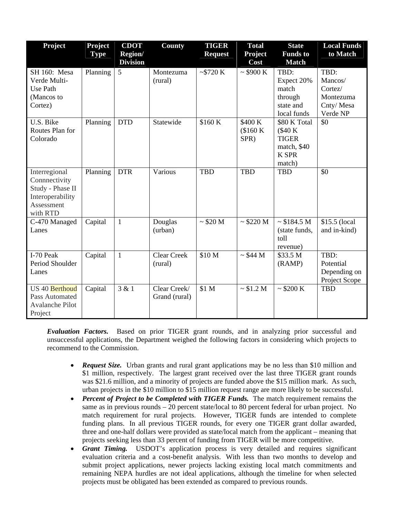| <b>Project</b>                                                                                   | <b>Project</b><br><b>Type</b> | <b>CDOT</b><br>Region/<br><b>Division</b> | County                        | <b>TIGER</b><br><b>Request</b> | <b>Total</b><br><b>Project</b><br>Cost | <b>State</b><br><b>Funds</b> to<br><b>Match</b>                                   | <b>Local Funds</b><br>to Match                                           |
|--------------------------------------------------------------------------------------------------|-------------------------------|-------------------------------------------|-------------------------------|--------------------------------|----------------------------------------|-----------------------------------------------------------------------------------|--------------------------------------------------------------------------|
| SH 160: Mesa<br>Verde Multi-<br>Use Path<br>(Mancos to<br>Cortez)                                | Planning                      | 5                                         | Montezuma<br>(rural)          | ~5720 K                        | $\sim$ \$900 K                         | TBD:<br>Expect 20%<br>match<br>through<br>state and<br>local funds                | TBD:<br>Mancos/<br>$\text{Cortex}$<br>Montezuma<br>Cnty/Mesa<br>Verde NP |
| U.S. Bike<br>Routes Plan for<br>Colorado                                                         | Planning                      | <b>DTD</b>                                | Statewide                     | \$160K                         | \$400 K<br>(\$160 K)<br>SPR)           | \$80 K Total<br>$(\$40K$<br><b>TIGER</b><br>match, \$40<br><b>K SPR</b><br>match) | \$0                                                                      |
| Interregional<br>Connnectivity<br>Study - Phase II<br>Interoperability<br>Assessment<br>with RTD | Planning                      | <b>DTR</b>                                | Various                       | <b>TBD</b>                     | <b>TBD</b>                             | <b>TBD</b>                                                                        | \$0                                                                      |
| C-470 Managed<br>Lanes                                                                           | Capital                       | $\mathbf{1}$                              | Douglas<br>(urban)            | $\sim$ \$20 M                  | $\sim$ \$220 M                         | $\sim $184.5 M$<br>(state funds,<br>toll<br>revenue)                              | \$15.5 (local<br>and in-kind)                                            |
| I-70 Peak<br>Period Shoulder<br>Lanes                                                            | Capital                       | $\mathbf{1}$                              | <b>Clear Creek</b><br>(rural) | \$10 M                         | $\sim$ \$44 M                          | \$33.5 M<br>(RAMP)                                                                | TBD:<br>Potential<br>Depending on<br>Project Scope                       |
| US 40 Berthoud<br>Pass Automated<br><b>Avalanche Pilot</b><br>Project                            | Capital                       | 3 & 1                                     | Clear Creek/<br>Grand (rural) | \$1 M                          | $\sim $1.2 M$                          | ~5200 K                                                                           | <b>TBD</b>                                                               |

*Evaluation Factors.* Based on prior TIGER grant rounds, and in analyzing prior successful and unsuccessful applications, the Department weighed the following factors in considering which projects to recommend to the Commission.

- *Request Size.* Urban grants and rural grant applications may be no less than \$10 million and \$1 million, respectively. The largest grant received over the last three TIGER grant rounds was \$21.6 million, and a minority of projects are funded above the \$15 million mark. As such, urban projects in the \$10 million to \$15 million request range are more likely to be successful.
- Percent of Project to be Completed with TIGER Funds. The match requirement remains the same as in previous rounds – 20 percent state/local to 80 percent federal for urban project. No match requirement for rural projects. However, TIGER funds are intended to complete funding plans. In all previous TIGER rounds, for every one TIGER grant dollar awarded, three and one-half dollars were provided as state/local match from the applicant – meaning that projects seeking less than 33 percent of funding from TIGER will be more competitive.
- *Grant Timing.* USDOT's application process is very detailed and requires significant evaluation criteria and a cost-benefit analysis. With less than two months to develop and submit project applications, newer projects lacking existing local match commitments and remaining NEPA hurdles are not ideal applications, although the timeline for when selected projects must be obligated has been extended as compared to previous rounds.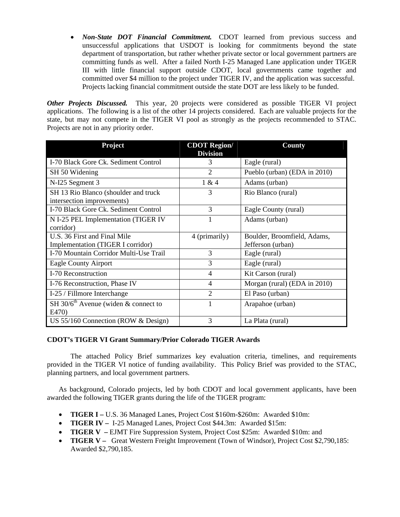*Non-State DOT Financial Commitment.* CDOT learned from previous success and unsuccessful applications that USDOT is looking for commitments beyond the state department of transportation, but rather whether private sector or local government partners are committing funds as well. After a failed North I-25 Managed Lane application under TIGER III with little financial support outside CDOT, local governments came together and committed over \$4 million to the project under TIGER IV, and the application was successful. Projects lacking financial commitment outside the state DOT are less likely to be funded.

*Other Projects Discussed.* This year, 20 projects were considered as possible TIGER VI project applications. The following is a list of the other 14 projects considered. Each are valuable projects for the state, but may not compete in the TIGER VI pool as strongly as the projects recommended to STAC. Projects are not in any priority order.

| Project                                                            | <b>CDOT Region/</b><br><b>Division</b> | County                                           |
|--------------------------------------------------------------------|----------------------------------------|--------------------------------------------------|
| I-70 Black Gore Ck. Sediment Control                               | 3                                      | Eagle (rural)                                    |
| SH 50 Widening                                                     | $\overline{2}$                         | Pueblo (urban) (EDA in 2010)                     |
| N-I25 Segment 3                                                    | 1 & 4                                  | Adams (urban)                                    |
| SH 13 Rio Blanco (shoulder and truck<br>intersection improvements) | 3                                      | Rio Blanco (rural)                               |
| I-70 Black Gore Ck. Sediment Control                               | 3                                      | Eagle County (rural)                             |
| N I-25 PEL Implementation (TIGER IV<br>corridor)                   |                                        | Adams (urban)                                    |
| U.S. 36 First and Final Mile<br>Implementation (TIGER I corridor)  | 4 (primarily)                          | Boulder, Broomfield, Adams,<br>Jefferson (urban) |
| I-70 Mountain Corridor Multi-Use Trail                             | 3                                      | Eagle (rural)                                    |
| <b>Eagle County Airport</b>                                        | 3                                      | Eagle (rural)                                    |
| I-70 Reconstruction                                                | $\overline{4}$                         | Kit Carson (rural)                               |
| I-76 Reconstruction, Phase IV                                      | $\overline{4}$                         | Morgan (rural) (EDA in 2010)                     |
| I-25 / Fillmore Interchange                                        | $\mathcal{D}_{\mathcal{L}}$            | El Paso (urban)                                  |
| SH 30/6 <sup>th</sup> Avenue (widen $\&$ connect to<br>E470)       |                                        | Arapahoe (urban)                                 |
| US 55/160 Connection (ROW & Design)                                | 3                                      | La Plata (rural)                                 |

# **CDOT's TIGER VI Grant Summary/Prior Colorado TIGER Awards**

The attached Policy Brief summarizes key evaluation criteria, timelines, and requirements provided in the TIGER VI notice of funding availability. This Policy Brief was provided to the STAC, planning partners, and local government partners.

As background, Colorado projects, led by both CDOT and local government applicants, have been awarded the following TIGER grants during the life of the TIGER program:

- **TIGER I –** U.S. 36 Managed Lanes, Project Cost \$160m-\$260m: Awarded \$10m:
- **TIGER IV –** I-25 Managed Lanes, Project Cost \$44.3m: Awarded \$15m:
- **TIGER V –** EJMT Fire Suppression System, Project Cost \$25m: Awarded \$10m: and
- **TIGER V** Great Western Freight Improvement (Town of Windsor), Project Cost \$2,790,185: Awarded \$2,790,185.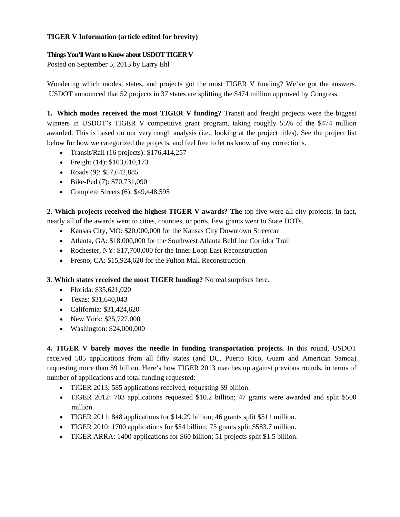# **TIGER V Information (article edited for brevity)**

# **Things You'll Want to Know about USDOT TIGER V**

Posted on September 5, 2013 by Larry Ehl

Wondering which modes, states, and projects got the most TIGER V funding? We've got the answers. USDOT announced that 52 projects in 37 states are splitting the \$474 million approved by Congress.

**1. Which modes received the most TIGER V funding?** Transit and freight projects were the biggest winners in USDOT's TIGER V competitive grant program, taking roughly 55% of the \$474 million awarded. This is based on our very rough analysis (i.e., looking at the project titles). See the project list below for how we categorized the projects, and feel free to let us know of any corrections.

- Transit/Rail (16 projects): \$176,414,257
- Freight (14):  $$103,610,173$
- Roads  $(9)$ : \$57,642,885
- Bike-Ped (7): \$70,731,090
- Complete Streets  $(6)$ : \$49,448,595

**2. Which projects received the highest TIGER V awards? The** top five were all city projects. In fact, nearly all of the awards went to cities, counties, or ports. Few grants went to State DOTs.

- Kansas City, MO: \$20,000,000 for the Kansas City Downtown Streetcar
- Atlanta, GA: \$18,000,000 for the Southwest Atlanta BeltLine Corridor Trail
- Rochester, NY: \$17,700,000 for the Inner Loop East Reconstruction
- Fresno, CA: \$15,924,620 for the Fulton Mall Reconstruction

**3. Which states received the most TIGER funding?** No real surprises here.

- Florida: \$35,621,020
- Texas: \$31,640,043
- California: \$31,424,620
- New York: \$25,727,000
- Washington: \$24,000,000

**4. TIGER V barely moves the needle in funding transportation projects.** In this round, USDOT received 585 applications from all fifty states (and DC, Puerto Rico, Guam and American Samoa) requesting more than \$9 billion. Here's how TIGER 2013 matches up against previous rounds, in terms of number of applications and total funding requested:

- TIGER 2013: 585 applications received, requesting \$9 billion.
- TIGER 2012: 703 applications requested \$10.2 billion; 47 grants were awarded and split \$500 million.
- TIGER 2011: 848 applications for \$14.29 billion; 46 grants split \$511 million.
- TIGER 2010: 1700 applications for \$54 billion; 75 grants split \$583.7 million.
- TIGER ARRA: 1400 applications for \$60 billion; 51 projects split \$1.5 billion.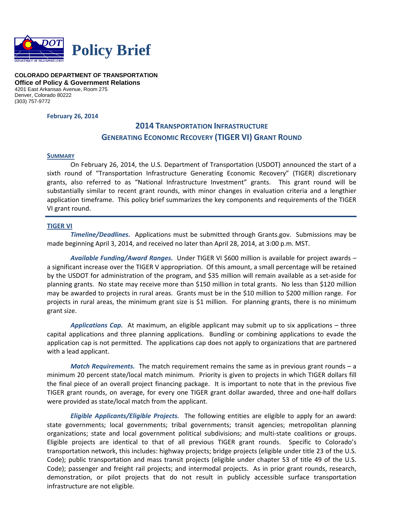

**COLORADO DEPARTMENT OF TRANSPORTATION Office of Policy & Government Relations**  4201 East Arkansas Avenue, Room 275 Denver, Colorado 80222 (303) 757-9772

**February 26, 2014**

# **2014 TRANSPORTATION INFRASTRUCTURE GENERATING ECONOMIC RECOVERY (TIGER VI) GRANT ROUND**

#### **SUMMARY**

On February 26, 2014, the U.S. Department of Transportation (USDOT) announced the start of a sixth round of "Transportation Infrastructure Generating Economic Recovery" (TIGER) discretionary grants, also referred to as "National Infrastructure Investment" grants. This grant round will be substantially similar to recent grant rounds, with minor changes in evaluation criteria and a lengthier application timeframe. This policy brief summarizes the key components and requirements of the TIGER VI grant round.

## **TIGER VI**

*Timeline/Deadlines.* Applications must be submitted through Grants.gov. Submissions may be made beginning April 3, 2014, and received no later than April 28, 2014, at 3:00 p.m. MST.

*Available Funding/Award Ranges.* Under TIGER VI \$600 million is available for project awards – a significant increase over the TIGER V appropriation. Of this amount, a small percentage will be retained by the USDOT for administration of the program, and \$35 million will remain available as a set‐aside for planning grants. No state may receive more than \$150 million in total grants. No less than \$120 million may be awarded to projects in rural areas. Grants must be in the \$10 million to \$200 million range. For projects in rural areas, the minimum grant size is \$1 million. For planning grants, there is no minimum grant size.

*Applications Cap.* At maximum, an eligible applicant may submit up to six applications – three capital applications and three planning applications. Bundling or combining applications to evade the application cap is not permitted. The applications cap does not apply to organizations that are partnered with a lead applicant.

*Match Requirements.* The match requirement remains the same as in previous grant rounds – a minimum 20 percent state/local match minimum. Priority is given to projects in which TIGER dollars fill the final piece of an overall project financing package. It is important to note that in the previous five TIGER grant rounds, on average, for every one TIGER grant dollar awarded, three and one‐half dollars were provided as state/local match from the applicant.

*Eligible Applicants/Eligible Projects.* The following entities are eligible to apply for an award: state governments; local governments; tribal governments; transit agencies; metropolitan planning organizations; state and local government political subdivisions; and multi‐state coalitions or groups. Eligible projects are identical to that of all previous TIGER grant rounds. Specific to Colorado's transportation network, this includes: highway projects; bridge projects (eligible under title 23 of the U.S. Code); public transportation and mass transit projects (eligible under chapter 53 of title 49 of the U.S. Code); passenger and freight rail projects; and intermodal projects. As in prior grant rounds, research, demonstration, or pilot projects that do not result in publicly accessible surface transportation infrastructure are not eligible.